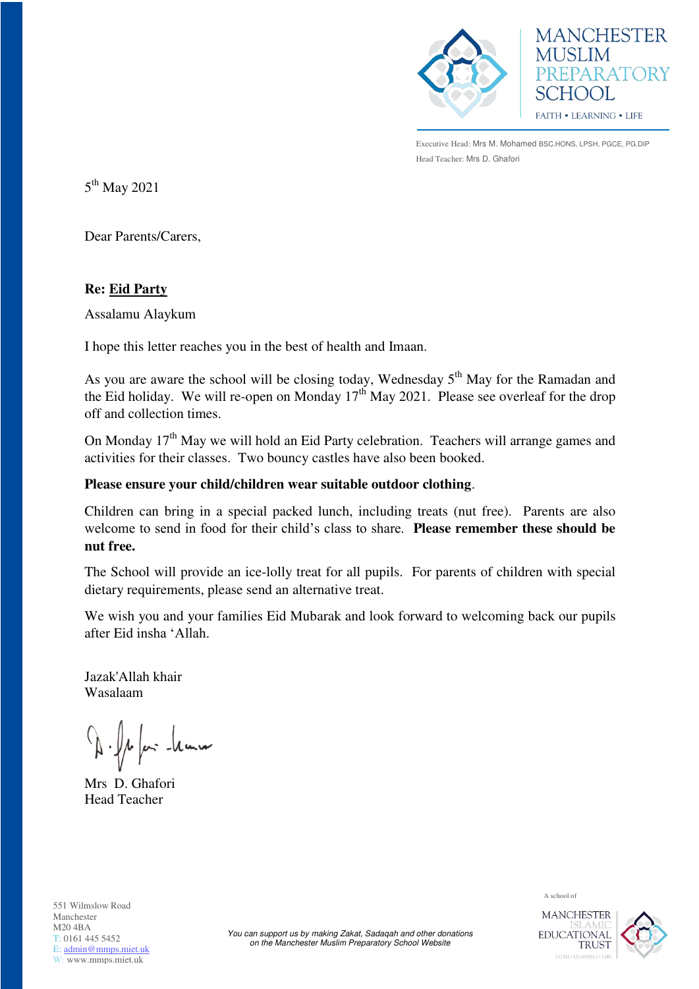



Executive Head: Mrs M. Mohamed BSC.HONS, LPSH, PGCE, PG.DIP Head Teacher: Mrs D. Ghafori

 $5^{\text{th}}$  May 2021

Dear Parents/Carers,

## **Re: Eid Party**

Assalamu Alaykum

I hope this letter reaches you in the best of health and Imaan.

As you are aware the school will be closing today, Wednesday  $5<sup>th</sup>$  May for the Ramadan and the Eid holiday. We will re-open on Monday  $17<sup>th</sup>$  May 2021. Please see overleaf for the drop off and collection times.

On Monday 17<sup>th</sup> May we will hold an Eid Party celebration. Teachers will arrange games and activities for their classes. Two bouncy castles have also been booked.

## **Please ensure your child/children wear suitable outdoor clothing**.

Children can bring in a special packed lunch, including treats (nut free). Parents are also welcome to send in food for their child's class to share. **Please remember these should be nut free.** 

The School will provide an ice-lolly treat for all pupils. For parents of children with special dietary requirements, please send an alternative treat.

We wish you and your families Eid Mubarak and look forward to welcoming back our pupils after Eid insha 'Allah.

Jazak'Allah khair Wasalaam

1 fair-temm

Mrs D. Ghafori Head Teacher

551 Wilmslow Road Manchester M20 4BA T: 0161 445 5452 E: [admin@mmps.miet.uk](mailto:admin@mmps.miet.uk) W: www.mmps.miet.uk

A school of